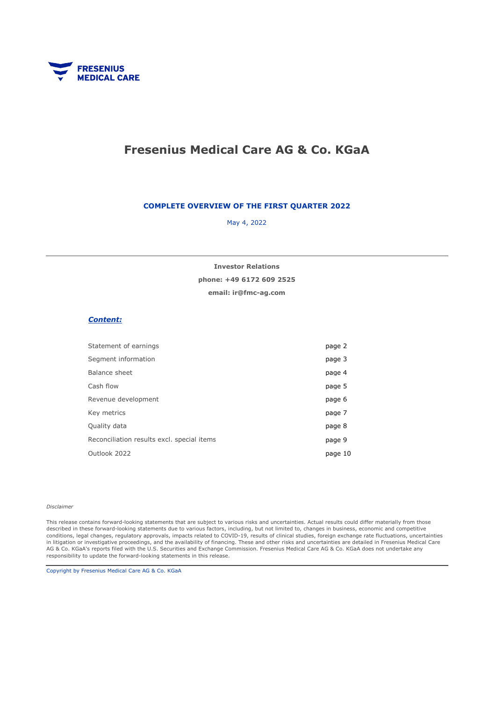

# Fresenius Medical Care AG & Co. KGaA

#### COMPLETE OVERVIEW OF THE FIRST QUARTER 2022

May 4, 2022

email: ir@fmc-ag.com phone: +49 6172 609 2525 Investor Relations

#### Content:

| Statement of earnings                      | page 2  |
|--------------------------------------------|---------|
| Segment information                        | page 3  |
| Balance sheet                              | page 4  |
| Cash flow                                  | page 5  |
| Revenue development                        | page 6  |
| Key metrics                                | page 7  |
| Quality data                               | page 8  |
| Reconciliation results excl. special items | page 9  |
| Outlook 2022                               | page 10 |
|                                            |         |

#### Disclaimer

This release contains forward-looking statements that are subject to various risks and uncertainties. Actual results could differ materially from those described in these forward-looking statements due to various factors, including, but not limited to, changes in business, economic and competitive conditions, legal changes, regulatory approvals, impacts related to COVID-19, results of clinical studies, foreign exchange rate fluctuations, uncertainties in litigation or investigative proceedings, and the availability of financing. These and other risks and uncertainties are detailed in Fresenius Medical Care AG & Co. KGaA's reports filed with the U.S. Securities and Exchange Commission. Fresenius Medical Care AG & Co. KGaA does not undertake any responsibility to update the forward-looking statements in this release.

Copyright by Fresenius Medical Care AG & Co. KGaA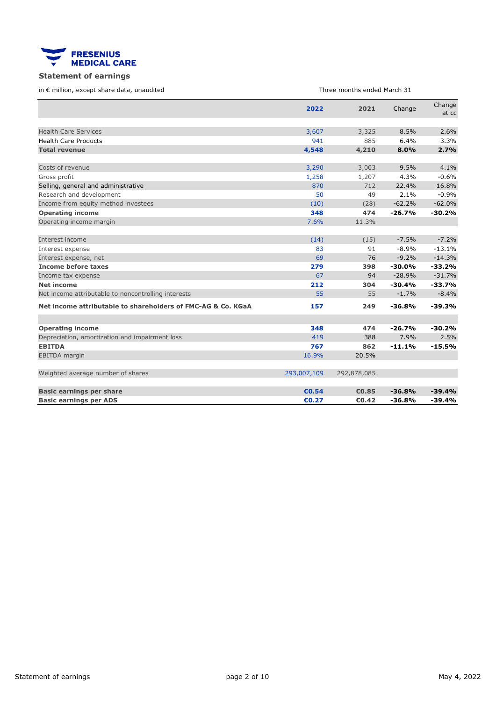<span id="page-1-0"></span>

### Statement of earnings

in € million, except share data, unaudited

Three months ended March 31

|                                                              | 2022        | 2021        | Change   | Change<br>at cc |
|--------------------------------------------------------------|-------------|-------------|----------|-----------------|
|                                                              |             |             |          |                 |
| <b>Health Care Services</b>                                  | 3,607       | 3,325       | 8.5%     | 2.6%            |
| <b>Health Care Products</b>                                  | 941         | 885         | 6.4%     | 3.3%            |
| <b>Total revenue</b>                                         | 4,548       | 4,210       | 8.0%     | 2.7%            |
|                                                              |             |             |          |                 |
| Costs of revenue                                             | 3,290       | 3,003       | 9.5%     | 4.1%            |
| Gross profit                                                 | 1,258       | 1,207       | 4.3%     | $-0.6%$         |
| Selling, general and administrative                          | 870         | 712         | 22.4%    | 16.8%           |
| Research and development                                     | 50          | 49          | 2.1%     | $-0.9%$         |
| Income from equity method investees                          | (10)        | (28)        | $-62.2%$ | $-62.0%$        |
| <b>Operating income</b>                                      | 348         | 474         | $-26.7%$ | $-30.2%$        |
| Operating income margin                                      | 7.6%        | 11.3%       |          |                 |
|                                                              |             |             |          |                 |
| Interest income                                              | (14)        | (15)        | $-7.5%$  | $-7.2%$         |
| Interest expense                                             | 83          | 91          | $-8.9%$  | $-13.1%$        |
| Interest expense, net                                        | 69          | 76          | $-9.2%$  | $-14.3%$        |
| <b>Income before taxes</b>                                   | 279         | 398         | $-30.0%$ | $-33.2%$        |
| Income tax expense                                           | 67          | 94          | $-28.9%$ | $-31.7%$        |
| <b>Net income</b>                                            | 212         | 304         | $-30.4%$ | $-33.7%$        |
| Net income attributable to noncontrolling interests          | 55          | 55          | $-1.7%$  | $-8.4%$         |
| Net income attributable to shareholders of FMC-AG & Co. KGaA | 157         | 249         | $-36.8%$ | $-39.3%$        |
|                                                              |             |             |          |                 |
| <b>Operating income</b>                                      | 348         | 474         | $-26.7%$ | $-30.2%$        |
| Depreciation, amortization and impairment loss               | 419         | 388         | 7.9%     | 2.5%            |
| <b>EBITDA</b>                                                | 767         | 862         | $-11.1%$ | $-15.5%$        |
| <b>EBITDA</b> margin                                         | 16.9%       | 20.5%       |          |                 |
| Weighted average number of shares                            | 293,007,109 | 292,878,085 |          |                 |
|                                                              |             |             |          |                 |
| <b>Basic earnings per share</b>                              | €0.54       | €0.85       | $-36.8%$ | $-39.4%$        |
| <b>Basic earnings per ADS</b>                                | €0.27       | €0.42       | $-36.8%$ | $-39.4%$        |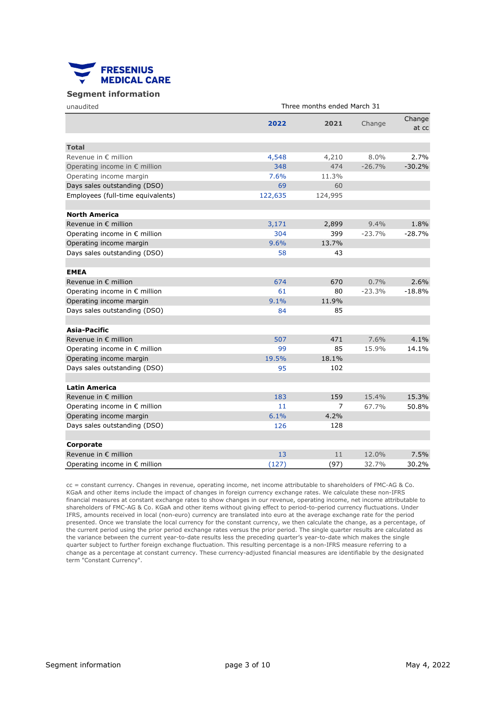<span id="page-2-0"></span>

#### Segment information

| unaudited                                             | Three months ended March 31 |         |          |                 |  |  |  |
|-------------------------------------------------------|-----------------------------|---------|----------|-----------------|--|--|--|
|                                                       | 2022                        | 2021    | Change   | Change<br>at cc |  |  |  |
| <b>Total</b>                                          |                             |         |          |                 |  |  |  |
| Revenue in € million                                  | 4,548                       | 4,210   | 8.0%     | 2.7%            |  |  |  |
| Operating income in € million                         | 348                         | 474     | $-26.7%$ | $-30.2%$        |  |  |  |
| Operating income margin                               | 7.6%                        | 11.3%   |          |                 |  |  |  |
| Days sales outstanding (DSO)                          | 69                          | 60      |          |                 |  |  |  |
| Employees (full-time equivalents)                     | 122,635                     | 124,995 |          |                 |  |  |  |
| <b>North America</b>                                  |                             |         |          |                 |  |  |  |
| Revenue in $\epsilon$ million                         | 3,171                       | 2,899   | 9.4%     | 1.8%            |  |  |  |
| Operating income in $\epsilon$ million                | 304                         | 399     | $-23.7%$ | $-28.7%$        |  |  |  |
| Operating income margin                               | 9.6%                        | 13.7%   |          |                 |  |  |  |
| Days sales outstanding (DSO)                          | 58                          | 43      |          |                 |  |  |  |
| <b>EMEA</b>                                           |                             |         |          |                 |  |  |  |
| Revenue in $\epsilon$ million                         | 674                         | 670     | 0.7%     | 2.6%            |  |  |  |
| Operating income in $\epsilon$ million                | 61                          | 80      | $-23.3%$ | $-18.8%$        |  |  |  |
| Operating income margin                               | 9.1%                        | 11.9%   |          |                 |  |  |  |
| Days sales outstanding (DSO)                          | 84                          | 85      |          |                 |  |  |  |
| Asia-Pacific                                          |                             |         |          |                 |  |  |  |
| Revenue in $\epsilon$ million                         | 507                         | 471     | 7.6%     | 4.1%            |  |  |  |
| Operating income in € million                         | 99                          | 85      | 15.9%    | 14.1%           |  |  |  |
| Operating income margin                               | 19.5%                       | 18.1%   |          |                 |  |  |  |
| Days sales outstanding (DSO)                          | 95                          | 102     |          |                 |  |  |  |
|                                                       |                             |         |          |                 |  |  |  |
| <b>Latin America</b><br>Revenue in $\epsilon$ million | 183                         | 159     | 15.4%    | 15.3%           |  |  |  |
| Operating income in € million                         | 11                          | 7       | 67.7%    | 50.8%           |  |  |  |
| Operating income margin                               | 6.1%                        | 4.2%    |          |                 |  |  |  |
| Days sales outstanding (DSO)                          | 126                         | 128     |          |                 |  |  |  |
|                                                       |                             |         |          |                 |  |  |  |
| Corporate                                             |                             |         |          |                 |  |  |  |
| Revenue in $\epsilon$ million                         | 13                          | 11      | 12.0%    | 7.5%            |  |  |  |
| Operating income in $\epsilon$ million                | (127)                       | (97)    | 32.7%    | 30.2%           |  |  |  |

cc = constant currency. Changes in revenue, operating income, net income attributable to shareholders of FMC-AG & Co. KGaA and other items include the impact of changes in foreign currency exchange rates. We calculate these non-IFRS financial measures at constant exchange rates to show changes in our revenue, operating income, net income attributable to shareholders of FMC-AG & Co. KGaA and other items without giving effect to period-to-period currency fluctuations. Under IFRS, amounts received in local (non-euro) currency are translated into euro at the average exchange rate for the period presented. Once we translate the local currency for the constant currency, we then calculate the change, as a percentage, of the current period using the prior period exchange rates versus the prior period. The single quarter results are calculated as the variance between the current year-to-date results less the preceding quarter's year-to-date which makes the single quarter subject to further foreign exchange fluctuation. This resulting percentage is a non-IFRS measure referring to a change as a percentage at constant currency. These currency-adjusted financial measures are identifiable by the designated term "Constant Currency".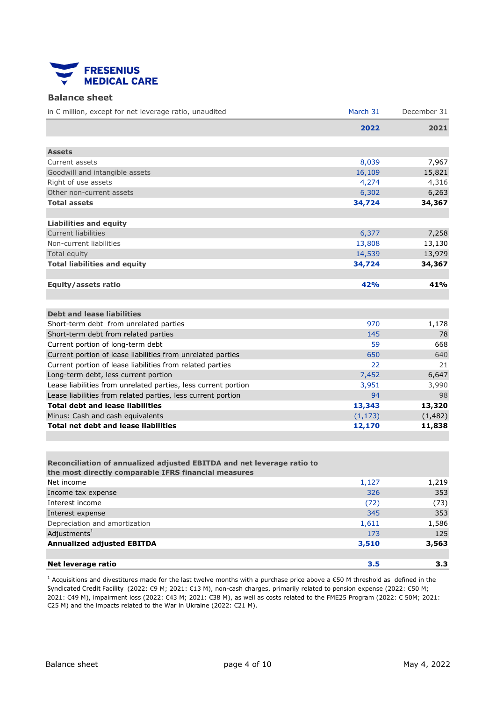<span id="page-3-0"></span>

#### Balance sheet

| in € million, except for net leverage ratio, unaudited         | March 31 | December 31 |
|----------------------------------------------------------------|----------|-------------|
|                                                                | 2022     | 2021        |
|                                                                |          |             |
| <b>Assets</b>                                                  |          |             |
| Current assets                                                 | 8,039    | 7,967       |
| Goodwill and intangible assets                                 | 16,109   | 15,821      |
| Right of use assets                                            | 4,274    | 4,316       |
| Other non-current assets                                       | 6,302    | 6,263       |
| <b>Total assets</b>                                            | 34,724   | 34,367      |
|                                                                |          |             |
| <b>Liabilities and equity</b>                                  |          |             |
| Current liabilities                                            | 6,377    | 7,258       |
| Non-current liabilities                                        | 13,808   | 13,130      |
| Total equity                                                   | 14,539   | 13,979      |
| <b>Total liabilities and equity</b>                            | 34,724   | 34,367      |
|                                                                |          |             |
| <b>Equity/assets ratio</b>                                     | 42%      | 41%         |
|                                                                |          |             |
|                                                                |          |             |
| <b>Debt and lease liabilities</b>                              |          |             |
| Short-term debt from unrelated parties                         | 970      | 1,178       |
| Short-term debt from related parties                           | 145      | 78          |
| Current portion of long-term debt                              | 59       | 668         |
| Current portion of lease liabilities from unrelated parties    | 650      | 640         |
| Current portion of lease liabilities from related parties      | 22       | 21          |
| Long-term debt, less current portion                           | 7,452    | 6,647       |
| Lease liabilities from unrelated parties, less current portion | 3,951    | 3,990       |
| Lease liabilities from related parties, less current portion   | 94       | 98          |
| <b>Total debt and lease liabilities</b>                        | 13,343   | 13,320      |
| Minus: Cash and cash equivalents                               | (1, 173) | (1, 482)    |
| <b>Total net debt and lease liabilities</b>                    | 12,170   | 11,838      |
|                                                                |          |             |

| Reconciliation of annualized adjusted EBITDA and net leverage ratio to<br>the most directly comparable IFRS financial measures |       |       |
|--------------------------------------------------------------------------------------------------------------------------------|-------|-------|
| Net income                                                                                                                     | 1,127 | 1,219 |
| Income tax expense                                                                                                             | 326   | 353   |
| Interest income                                                                                                                | (72)  | (73)  |
| Interest expense                                                                                                               | 345   | 353   |
| Depreciation and amortization                                                                                                  | 1,611 | 1,586 |
| Adjustments $1$                                                                                                                | 173   | 125   |
| <b>Annualized adjusted EBITDA</b>                                                                                              | 3,510 | 3,563 |
|                                                                                                                                |       |       |
| Net leverage ratio                                                                                                             | 3.5   | 3.3   |

<sup>1</sup> Acquisitions and divestitures made for the last twelve months with a purchase price above a  $\epsilon$ 50 M threshold as defined in the Syndicated Credit Facility (2022: €9 M; 2021: €13 M), non-cash charges, primarily related to pension expense (2022: €50 M; 2021: €49 M), impairment loss (2022: €43 M; 2021: €38 M), as well as costs related to the FME25 Program (2022: € 50M; 2021: €25 M) and the impacts related to the War in Ukraine (2022: €21 M).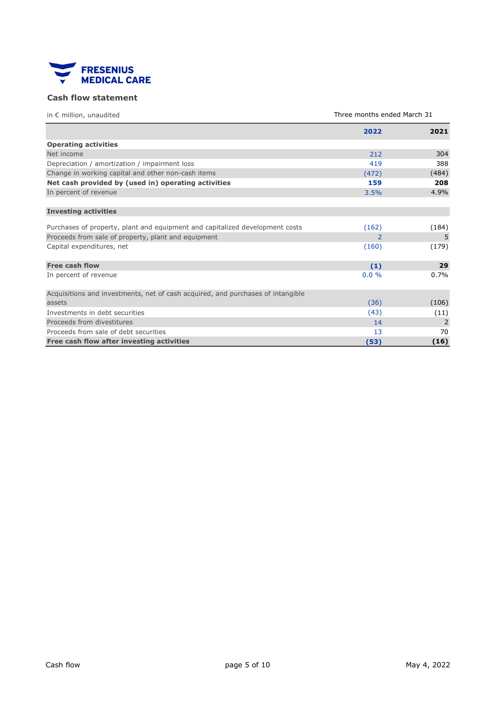<span id="page-4-0"></span>

## Cash flow statement

| in $\epsilon$ million, unaudited                                                          | Three months ended March 31 |         |  |
|-------------------------------------------------------------------------------------------|-----------------------------|---------|--|
|                                                                                           | 2022                        | 2021    |  |
| <b>Operating activities</b>                                                               |                             |         |  |
| Net income                                                                                | 212                         | 304     |  |
| Depreciation / amortization / impairment loss                                             | 419                         | 388     |  |
| Change in working capital and other non-cash items                                        | (472)                       | (484)   |  |
| Net cash provided by (used in) operating activities                                       | 159                         | 208     |  |
| In percent of revenue                                                                     | 3.5%                        | 4.9%    |  |
| <b>Investing activities</b>                                                               |                             |         |  |
| Purchases of property, plant and equipment and capitalized development costs              | (162)                       | (184)   |  |
| Proceeds from sale of property, plant and equipment                                       | 2                           | 5       |  |
| Capital expenditures, net                                                                 | (160)                       | (179)   |  |
| <b>Free cash flow</b>                                                                     | (1)                         | 29      |  |
| In percent of revenue                                                                     | $0.0\%$                     | $0.7\%$ |  |
| Acquisitions and investments, net of cash acquired, and purchases of intangible<br>assets |                             |         |  |
|                                                                                           | (36)                        | (106)   |  |
| Investments in debt securities                                                            | (43)                        | (11)    |  |
| Proceeds from divestitures                                                                | 14                          | 2       |  |
| Proceeds from sale of debt securities                                                     | 13                          | 70      |  |
| Free cash flow after investing activities                                                 | (53)                        | (16)    |  |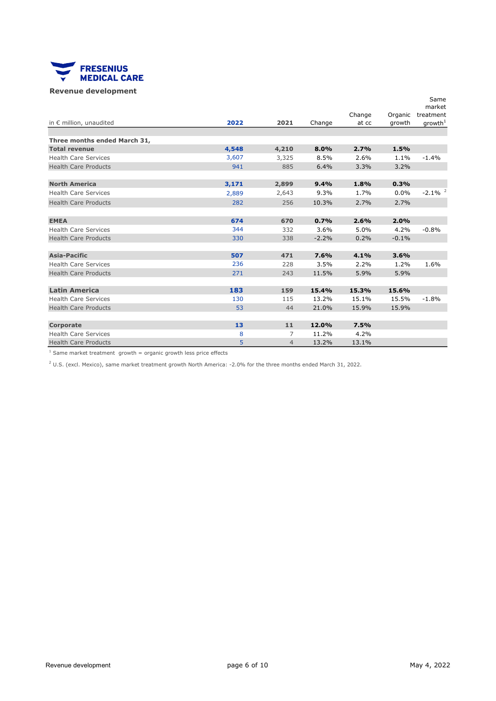<span id="page-5-0"></span>

### Revenue development

|                                  |       |                |         |        |         | Same                  |
|----------------------------------|-------|----------------|---------|--------|---------|-----------------------|
|                                  |       |                |         | Change | Organic | market<br>treatment   |
| in $\epsilon$ million, unaudited | 2022  | 2021           | Change  | at cc  | growth  | growth <sup>1</sup>   |
|                                  |       |                |         |        |         |                       |
| Three months ended March 31,     |       |                |         |        |         |                       |
| <b>Total revenue</b>             | 4,548 | 4,210          | 8.0%    | 2.7%   | 1.5%    |                       |
| <b>Health Care Services</b>      | 3,607 | 3,325          | 8.5%    | 2.6%   | 1.1%    | $-1.4%$               |
| <b>Health Care Products</b>      | 941   | 885            | 6.4%    | 3.3%   | 3.2%    |                       |
|                                  |       |                |         |        |         |                       |
| <b>North America</b>             | 3,171 | 2,899          | 9.4%    | 1.8%   | 0.3%    |                       |
| <b>Health Care Services</b>      | 2,889 | 2,643          | 9.3%    | 1.7%   | 0.0%    | $-2.1\%$ <sup>2</sup> |
| <b>Health Care Products</b>      | 282   | 256            | 10.3%   | 2.7%   | 2.7%    |                       |
|                                  |       |                |         |        |         |                       |
| <b>EMEA</b>                      | 674   | 670            | 0.7%    | 2.6%   | 2.0%    |                       |
| <b>Health Care Services</b>      | 344   | 332            | 3.6%    | 5.0%   | 4.2%    | $-0.8%$               |
| <b>Health Care Products</b>      | 330   | 338            | $-2.2%$ | 0.2%   | $-0.1%$ |                       |
|                                  |       |                |         |        |         |                       |
| <b>Asia-Pacific</b>              | 507   | 471            | 7.6%    | 4.1%   | 3.6%    |                       |
| <b>Health Care Services</b>      | 236   | 228            | 3.5%    | 2.2%   | 1.2%    | 1.6%                  |
| <b>Health Care Products</b>      | 271   | 243            | 11.5%   | 5.9%   | 5.9%    |                       |
|                                  |       |                |         |        |         |                       |
| <b>Latin America</b>             | 183   | 159            | 15.4%   | 15.3%  | 15.6%   |                       |
| <b>Health Care Services</b>      | 130   | 115            | 13.2%   | 15.1%  | 15.5%   | $-1.8%$               |
| <b>Health Care Products</b>      | 53    | 44             | 21.0%   | 15.9%  | 15.9%   |                       |
|                                  |       |                |         |        |         |                       |
| Corporate                        | 13    | 11             | 12.0%   | 7.5%   |         |                       |
| <b>Health Care Services</b>      | 8     | 7              | 11.2%   | 4.2%   |         |                       |
| <b>Health Care Products</b>      | 5     | $\overline{4}$ | 13.2%   | 13.1%  |         |                       |

 $1$  Same market treatment growth = organic growth less price effects

 $2$  U.S. (excl. Mexico), same market treatment growth North America: -2.0% for the three months ended March 31, 2022.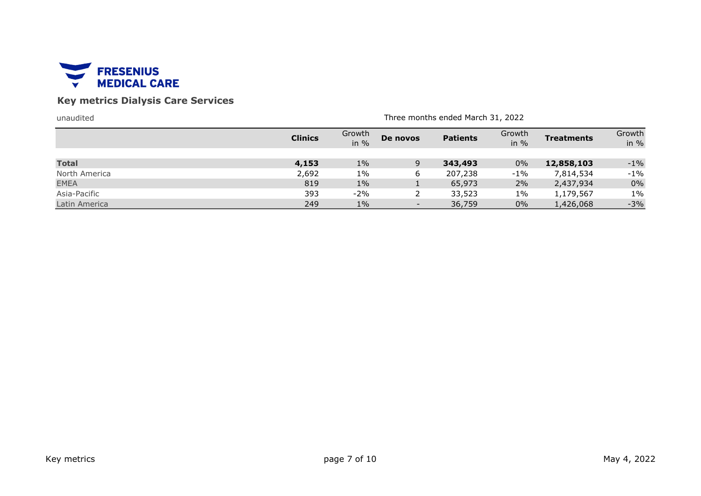<span id="page-6-0"></span>

# Key metrics Dialysis Care Services

| unaudited                   | Three months ended March 31, 2022 |                |          |                  |                  |                        |                  |
|-----------------------------|-----------------------------------|----------------|----------|------------------|------------------|------------------------|------------------|
|                             | <b>Clinics</b>                    | Growth<br>in % | De novos | <b>Patients</b>  | Growth<br>in $%$ | <b>Treatments</b>      | Growth<br>in $%$ |
| <b>Total</b>                | 4,153                             | $1\%$          | 9        | 343,493          | $0\%$            | 12,858,103             | $-1\%$           |
| North America               | 2,692                             | $1\%$          | 6        | 207,238          | $-1\%$           | 7,814,534              | $-1\%$           |
| <b>EMEA</b><br>Asia-Pacific | 819<br>393                        | $1\%$<br>$-2%$ |          | 65,973<br>33,523 | 2%<br>$1\%$      | 2,437,934<br>1,179,567 | $0\%$<br>$1\%$   |
| Latin America               | 249                               | $1\%$          |          | 36,759           | $0\%$            | 1,426,068              | $-3%$            |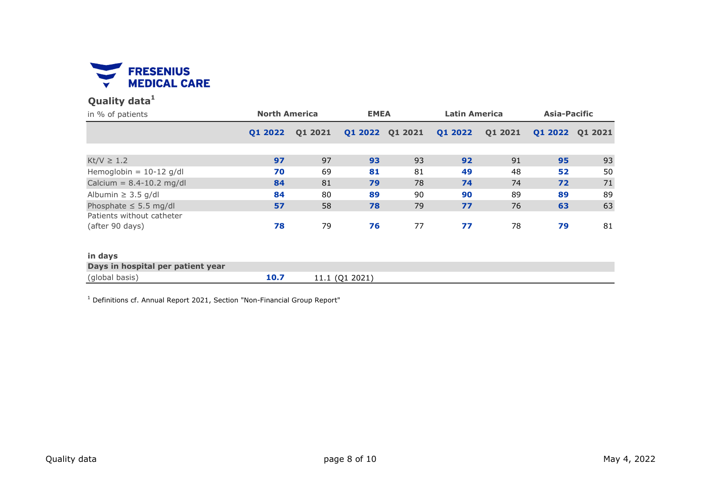<span id="page-7-0"></span>

# Quality data<sup>1</sup>

| in % of patients                             | <b>North America</b> |         | <b>EMEA</b>    |                 | <b>Latin America</b> |         | Asia-Pacific |         |
|----------------------------------------------|----------------------|---------|----------------|-----------------|----------------------|---------|--------------|---------|
|                                              | Q1 2022              | Q1 2021 |                | Q1 2022 Q1 2021 | Q1 2022              | Q1 2021 | Q1 2022      | Q1 2021 |
|                                              |                      |         |                |                 |                      |         |              |         |
| $Kt/V \geq 1.2$                              | 97                   | 97      | 93             | 93              | 92                   | 91      | 95           | 93      |
| Hemoglobin = $10-12$ g/dl                    | 70                   | 69      | 81             | 81              | 49                   | 48      | 52           | 50      |
| Calcium = $8.4 - 10.2$ mg/dl                 | 84                   | 81      | 79             | 78              | 74                   | 74      | 72           | 71      |
| Albumin $\geq$ 3.5 g/dl                      | 84                   | 80      | 89             | 90              | 90                   | 89      | 89           | 89      |
| Phosphate $\leq$ 5.5 mg/dl                   | 57                   | 58      | 78             | 79              | 77                   | 76      | 63           | 63      |
| Patients without catheter<br>(after 90 days) | 78                   | 79      | 76             | 77              | 77                   | 78      | 79           | 81      |
|                                              |                      |         |                |                 |                      |         |              |         |
| in days                                      |                      |         |                |                 |                      |         |              |         |
| Days in hospital per patient year            |                      |         |                |                 |                      |         |              |         |
| (global basis)                               | 10.7                 |         | 11.1 (Q1 2021) |                 |                      |         |              |         |

<sup>1</sup> Definitions cf. Annual Report 2021, Section "Non-Financial Group Report"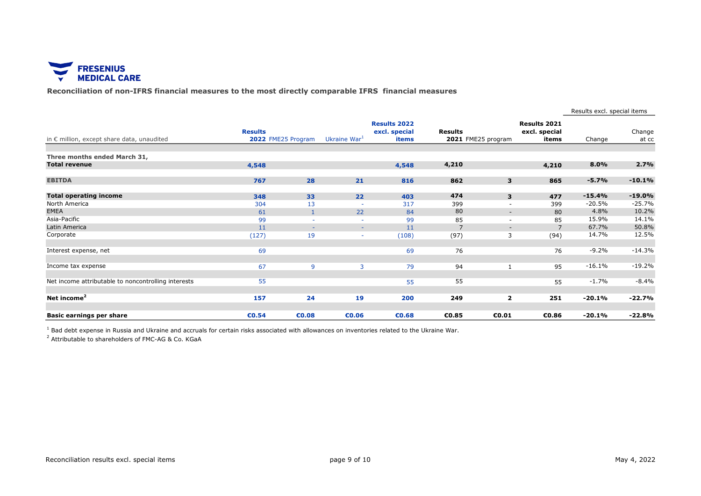<span id="page-8-0"></span>

Reconciliation of non-IFRS financial measures to the most directly comparable IFRS financial measures

|                                                      |                |                    |                          |                                               |                |                    |                                               | Results excl. special items |                 |
|------------------------------------------------------|----------------|--------------------|--------------------------|-----------------------------------------------|----------------|--------------------|-----------------------------------------------|-----------------------------|-----------------|
| in € million, except share data, unaudited           | <b>Results</b> | 2022 FME25 Program | Ukraine War <sup>1</sup> | <b>Results 2022</b><br>excl. special<br>items | <b>Results</b> | 2021 FME25 program | <b>Results 2021</b><br>excl. special<br>items | Change                      | Change<br>at cc |
|                                                      |                |                    |                          |                                               |                |                    |                                               |                             |                 |
| Three months ended March 31,<br><b>Total revenue</b> | 4,548          |                    |                          | 4,548                                         | 4,210          |                    | 4,210                                         | 8.0%                        | 2.7%            |
| <b>EBITDA</b>                                        | 767            | 28                 | 21                       | 816                                           | 862            | 3                  | 865                                           | $-5.7%$                     | $-10.1%$        |
| <b>Total operating income</b>                        | 348            | 33                 | 22                       | 403                                           | 474            | 3                  | 477                                           | $-15.4%$                    | $-19.0%$        |
| North America                                        | 304            | 13                 | $\overline{\phantom{a}}$ | 317                                           | 399            |                    | 399                                           | $-20.5%$                    | $-25.7%$        |
| <b>EMEA</b>                                          | 61             |                    | 22                       | 84                                            | 80             | $\sim$             | 80                                            | 4.8%                        | 10.2%           |
| Asia-Pacific                                         | 99             | $\sim$             |                          | 99                                            | 85             | $\sim$             | 85                                            | 15.9%                       | 14.1%           |
| Latin America                                        | 11             | $\sim$             | $\sim$                   | 11                                            |                | $\sim$             | $\overline{7}$                                | 67.7%                       | 50.8%           |
| Corporate                                            | (127)          | 19                 |                          | (108)                                         | (97)           | 3                  | (94)                                          | 14.7%                       | 12.5%           |
| Interest expense, net                                | 69             |                    |                          | 69                                            | 76             |                    | 76                                            | $-9.2%$                     | $-14.3%$        |
| Income tax expense                                   | 67             | 9                  | 3                        | 79                                            | 94             | 1                  | 95                                            | $-16.1%$                    | $-19.2%$        |
| Net income attributable to noncontrolling interests  | 55             |                    |                          | 55                                            | 55             |                    | 55                                            | $-1.7%$                     | $-8.4%$         |
| Net income <sup>2</sup>                              | 157            | 24                 | 19                       | 200                                           | 249            | $\mathbf{2}$       | 251                                           | $-20.1%$                    | $-22.7%$        |
| Basic earnings per share                             | €0.54          | €0.08              | €0.06                    | €0.68                                         | €0.85          | €0.01              | €0.86                                         | $-20.1%$                    | $-22.8%$        |

<sup>1</sup> Bad debt expense in Russia and Ukraine and accruals for certain risks associated with allowances on inventories related to the Ukraine War.

<sup>2</sup> Attributable to shareholders of FMC-AG & Co. KGaA